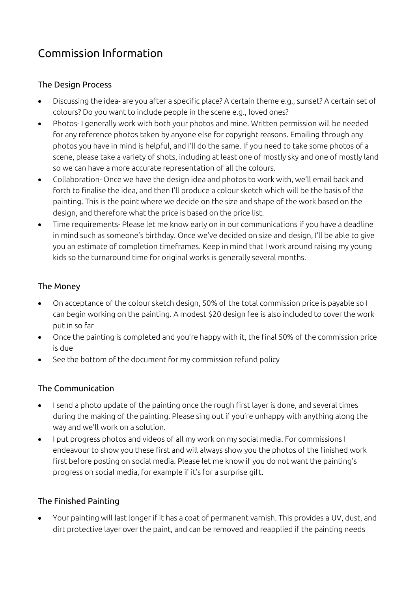# Commission Information

#### The Design Process

- Discussing the idea- are you after a specific place? A certain theme e.g., sunset? A certain set of colours? Do you want to include people in the scene e.g., loved ones?
- Photos- I generally work with both your photos and mine. Written permission will be needed for any reference photos taken by anyone else for copyright reasons. Emailing through any photos you have in mind is helpful, and I'll do the same. If you need to take some photos of a scene, please take a variety of shots, including at least one of mostly sky and one of mostly land so we can have a more accurate representation of all the colours.
- Collaboration- Once we have the design idea and photos to work with, we'll email back and forth to finalise the idea, and then I'll produce a colour sketch which will be the basis of the painting. This is the point where we decide on the size and shape of the work based on the design, and therefore what the price is based on the price list.
- Time requirements- Please let me know early on in our communications if you have a deadline in mind such as someone's birthday. Once we've decided on size and design, I'll be able to give you an estimate of completion timeframes. Keep in mind that I work around raising my young kids so the turnaround time for original works is generally several months.

### The Money

- On acceptance of the colour sketch design, 50% of the total commission price is payable so I can begin working on the painting. A modest \$20 design fee is also included to cover the work put in so far
- Once the painting is completed and you're happy with it, the final 50% of the commission price is due
- See the bottom of the document for my commission refund policy

#### The Communication

- I send a photo update of the painting once the rough first layer is done, and several times during the making of the painting. Please sing out if you're unhappy with anything along the way and we'll work on a solution.
- I put progress photos and videos of all my work on my social media. For commissions I endeavour to show you these first and will always show you the photos of the finished work first before posting on social media. Please let me know if you do not want the painting's progress on social media, for example if it's for a surprise gift.

## The Finished Painting

• Your painting will last longer if it has a coat of permanent varnish. This provides a UV, dust, and dirt protective layer over the paint, and can be removed and reapplied if the painting needs